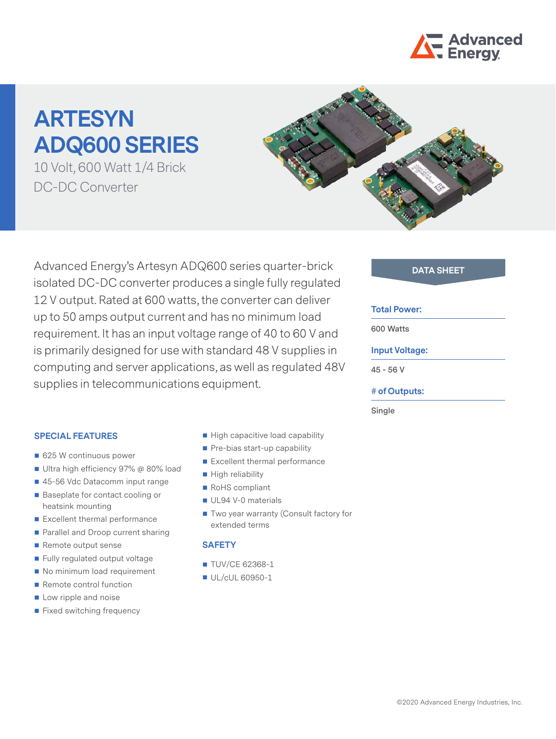

# **ARTESYN ADQ600 SERIES**

10 Volt, 600 Watt 1/4 Brick DC-DC Converter



Advanced Energy's Artesyn ADQ600 series quarter-brick **DATA SHEET** isolated DC-DC converter produces a single fully regulated 12 V output. Rated at 600 watts, the converter can deliver up to 50 amps output current and has no minimum load requirement. It has an input voltage range of 40 to 60 V and is primarily designed for use with standard 48 V supplies in computing and server applications, as well as regulated 48V supplies in telecommunications equipment.

#### **Total Power:**

**600 Watts**

### **Input Voltage:**

**45 - 56 V**

#### **# of Outputs:**

**Single**

#### **SPECIAL FEATURES**

- 625 W continuous power
- Ultra high efficiency 97% @ 80% load
- 45-56 Vdc Datacomm input range
- Baseplate for contact cooling or heatsink mounting
- Excellent thermal performance
- Parallel and Droop current sharing
- Remote output sense
- Fully regulated output voltage
- No minimum load requirement
- Remote control function
- **Low ripple and noise**
- **Fixed switching frequency**
- High capacitive load capability
- Pre-bias start-up capability
- Excellent thermal performance
- High reliability
- RoHS compliant
- UL94 V-0 materials
- Two year warranty (Consult factory for extended terms

### **SAFETY**

- **TUV/CE 62368-1**
- UL/cUL 60950-1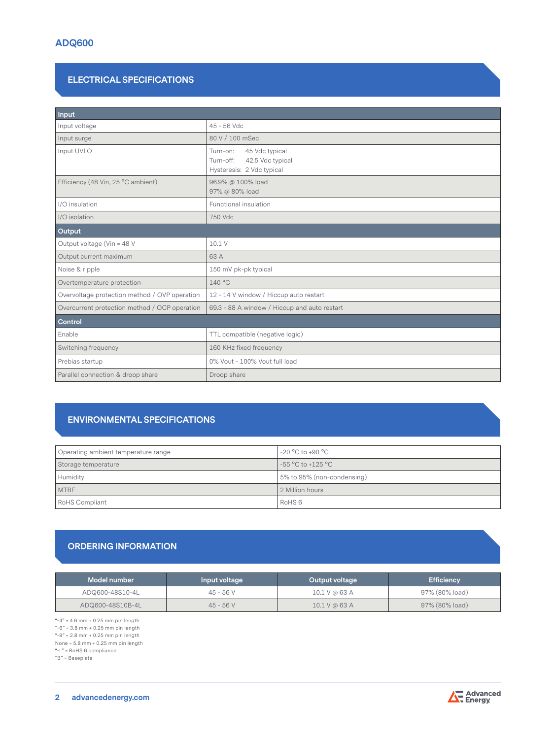# **ELECTRICAL SPECIFICATIONS**

| Input                                         |                                                                                          |  |
|-----------------------------------------------|------------------------------------------------------------------------------------------|--|
| Input voltage                                 | 45 - 56 Vdc                                                                              |  |
| Input surge                                   | 80 V / 100 mSec                                                                          |  |
| Input UVLO                                    | 45 Vdc typical<br>Turn-on:<br>Turn-off:<br>42.5 Vdc typical<br>Hysteresis: 2 Vdc typical |  |
| Efficiency (48 Vin, 25 °C ambient)            | 96.9% @ 100% load<br>97% @ 80% load                                                      |  |
| I/O insulation                                | Functional insulation                                                                    |  |
| I/O isolation                                 | 750 Vdc                                                                                  |  |
| Output                                        |                                                                                          |  |
| Output voltage (Vin = 48 V                    | 10.1 V                                                                                   |  |
| Output current maximum                        | 63 A                                                                                     |  |
| Noise & ripple                                | 150 mV pk-pk typical                                                                     |  |
| Overtemperature protection                    | 140 °C                                                                                   |  |
| Overvoltage protection method / OVP operation | 12 - 14 V window / Hiccup auto restart                                                   |  |
| Overcurrent protection method / OCP operation | 69.3 - 88 A window / Hiccup and auto restart                                             |  |
| Control                                       |                                                                                          |  |
| Enable                                        | TTL compatible (negative logic)                                                          |  |
| Switching frequency                           | 160 KHz fixed frequency                                                                  |  |
| Prebias startup                               | 0% Vout - 100% Vout full load                                                            |  |
| Parallel connection & droop share             | Droop share                                                                              |  |

# **ENVIRONMENTAL SPECIFICATIONS**

| Operating ambient temperature range | $-20$ °C to $+90$ °C       |
|-------------------------------------|----------------------------|
| Storage temperature                 | -55 °C to +125 °C          |
| Humidity                            | 5% to 95% (non-condensing) |
| <b>MTBF</b>                         | 2 Million hours            |
| RoHS Compliant                      | RoHS <sub>6</sub>          |

# **ORDERING INFORMATION**

| Model number     | Input voltage | Output voltage  | <b>Efficiency</b> |
|------------------|---------------|-----------------|-------------------|
| ADQ600-48S10-4L  | $45 - 56$ V   | $10.1$ V @ 63 A | 97% (80% load)    |
| ADQ600-48S10B-4L | $45 - 56V$    | 10.1 V @ 63 A   | 97% (80% load)    |

"-4" = 4.6 mm + 0.25 mm pin length

"-6" = 3.8 mm + 0.25 mm pin length  $-8" = 2.8$  mm + 0.25 mm pin length

None = 5.8 mm + 0.25 mm pin length

"-L" = RoHS 6 compliance "B" = Baseplate

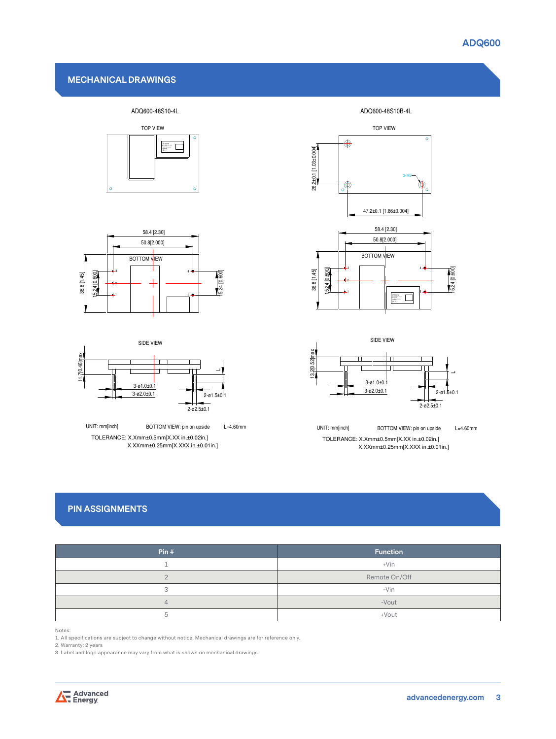## **MECHANICAL DRAWINGS**













X.XXmm±0.25mm[X.XXX in.±0.01in.] TOLERANCE: X.Xmm±0.5mm[X.XX in.±0.02in.] UNIT: mm[inch] BOTTOM VIEW: pin on upside L=4.60mm

# **PIN ASSIGNMENTS**

| Pin# | <b>Function</b> |
|------|-----------------|
|      | $+V$ in         |
|      | Remote On/Off   |
|      | $-Vin$          |
| Δ    | -Vout           |
| ∽    | +Vout           |

Notes:

1. All specifications are subject to change without notice. Mechanical drawings are for reference only.

2. Warranty: 2 years

3. Label and logo appearance may vary from what is shown on mechanical drawings.